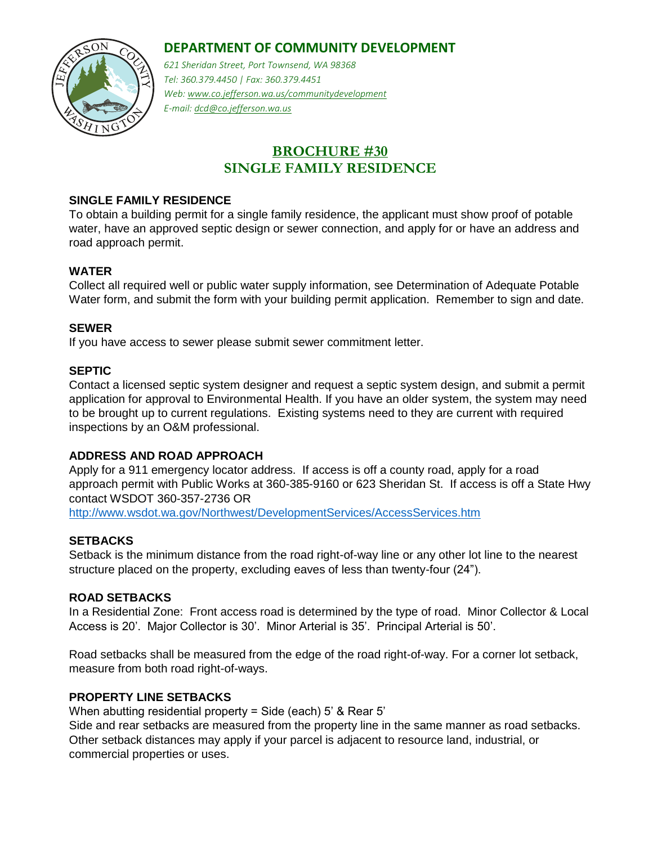# **DEPARTMENT OF COMMUNITY DEVELOPMENT**



*621 Sheridan Street, Port Townsend, WA 98368 Tel: 360.379.4450 | Fax: 360.379.4451 Web: www.co.jefferson.wa.us/communitydevelopment E-mail: dcd@co.jefferson.wa.us* 

# **BROCHURE #30 SINGLE FAMILY RESIDENCE**

### **SINGLE FAMILY RESIDENCE**

To obtain a building permit for a single family residence, the applicant must show proof of potable water, have an approved septic design or sewer connection, and apply for or have an address and road approach permit.

#### **WATER**

Collect all required well or public water supply information, see Determination of Adequate Potable Water form, and submit the form with your building permit application. Remember to sign and date.

#### **SEWER**

If you have access to sewer please submit sewer commitment letter.

#### **SEPTIC**

Contact a licensed septic system designer and request a septic system design, and submit a permit application for approval to Environmental Health. If you have an older system, the system may need to be brought up to current regulations. Existing systems need to they are current with required inspections by an O&M professional.

#### **ADDRESS AND ROAD APPROACH**

Apply for a 911 emergency locator address. If access is off a county road, apply for a road approach permit with Public Works at 360-385-9160 or 623 Sheridan St. If access is off a State Hwy contact WSDOT 360-357-2736 OR <http://www.wsdot.wa.gov/Northwest/DevelopmentServices/AccessServices.htm>

#### **SETBACKS**

Setback is the minimum distance from the road right-of-way line or any other lot line to the nearest structure placed on the property, excluding eaves of less than twenty-four (24").

### **ROAD SETBACKS**

In a Residential Zone: Front access road is determined by the type of road. Minor Collector & Local Access is 20'. Major Collector is 30'. Minor Arterial is 35'. Principal Arterial is 50'.

Road setbacks shall be measured from the edge of the road right-of-way. For a corner lot setback, measure from both road right-of-ways.

### **PROPERTY LINE SETBACKS**

When abutting residential property = Side (each) 5' & Rear 5'

Side and rear setbacks are measured from the property line in the same manner as road setbacks. Other setback distances may apply if your parcel is adjacent to resource land, industrial, or commercial properties or uses.